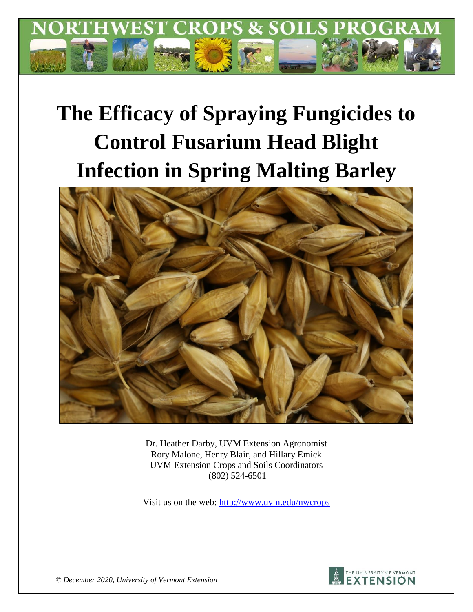

# **The Efficacy of Spraying Fungicides to Control Fusarium Head Blight Infection in Spring Malting Barley**



Dr. Heather Darby, UVM Extension Agronomist Rory Malone, Henry Blair, and Hillary Emick UVM Extension Crops and Soils Coordinators (802) 524-6501

Visit us on the web:<http://www.uvm.edu/nwcrops>



*© December 2020, University of Vermont Extension*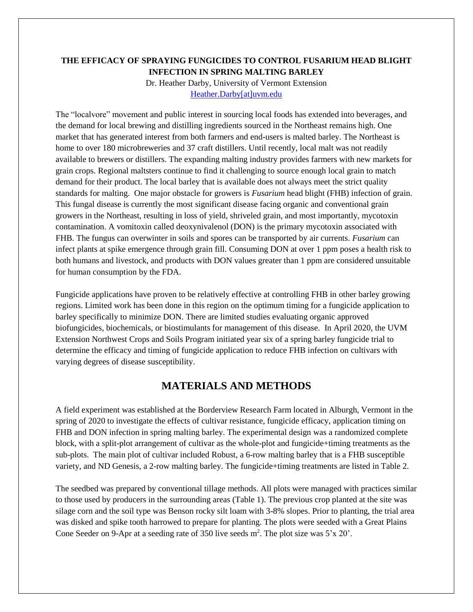#### **THE EFFICACY OF SPRAYING FUNGICIDES TO CONTROL FUSARIUM HEAD BLIGHT INFECTION IN SPRING MALTING BARLEY**

Dr. Heather Darby, University of Vermont Extension [Heather.Darby\[at\]uvm.edu](mailto:Heather.Darby@uvm.edu)

The "localvore" movement and public interest in sourcing local foods has extended into beverages, and the demand for local brewing and distilling ingredients sourced in the Northeast remains high. One market that has generated interest from both farmers and end-users is malted barley. The Northeast is home to over 180 microbreweries and 37 craft distillers. Until recently, local malt was not readily available to brewers or distillers. The expanding malting industry provides farmers with new markets for grain crops. Regional maltsters continue to find it challenging to source enough local grain to match demand for their product. The local barley that is available does not always meet the strict quality standards for malting. One major obstacle for growers is *Fusarium* head blight (FHB) infection of grain. This fungal disease is currently the most significant disease facing organic and conventional grain growers in the Northeast, resulting in loss of yield, shriveled grain, and most importantly, mycotoxin contamination. A vomitoxin called deoxynivalenol (DON) is the primary mycotoxin associated with FHB. The fungus can overwinter in soils and spores can be transported by air currents. *Fusarium* can infect plants at spike emergence through grain fill. Consuming DON at over 1 ppm poses a health risk to both humans and livestock, and products with DON values greater than 1 ppm are considered unsuitable for human consumption by the FDA.

Fungicide applications have proven to be relatively effective at controlling FHB in other barley growing regions. Limited work has been done in this region on the optimum timing for a fungicide application to barley specifically to minimize DON. There are limited studies evaluating organic approved biofungicides, biochemicals, or biostimulants for management of this disease. In April 2020, the UVM Extension Northwest Crops and Soils Program initiated year six of a spring barley fungicide trial to determine the efficacy and timing of fungicide application to reduce FHB infection on cultivars with varying degrees of disease susceptibility.

## **MATERIALS AND METHODS**

A field experiment was established at the Borderview Research Farm located in Alburgh, Vermont in the spring of 2020 to investigate the effects of cultivar resistance, fungicide efficacy, application timing on FHB and DON infection in spring malting barley. The experimental design was a randomized complete block, with a split-plot arrangement of cultivar as the whole-plot and fungicide+timing treatments as the sub-plots. The main plot of cultivar included Robust, a 6-row malting barley that is a FHB susceptible variety, and ND Genesis, a 2-row malting barley. The fungicide+timing treatments are listed in Table 2.

The seedbed was prepared by conventional tillage methods. All plots were managed with practices similar to those used by producers in the surrounding areas (Table 1). The previous crop planted at the site was silage corn and the soil type was Benson rocky silt loam with 3-8% slopes. Prior to planting, the trial area was disked and spike tooth harrowed to prepare for planting. The plots were seeded with a Great Plains Cone Seeder on 9-Apr at a seeding rate of 350 live seeds  $m^2$ . The plot size was 5'x 20'.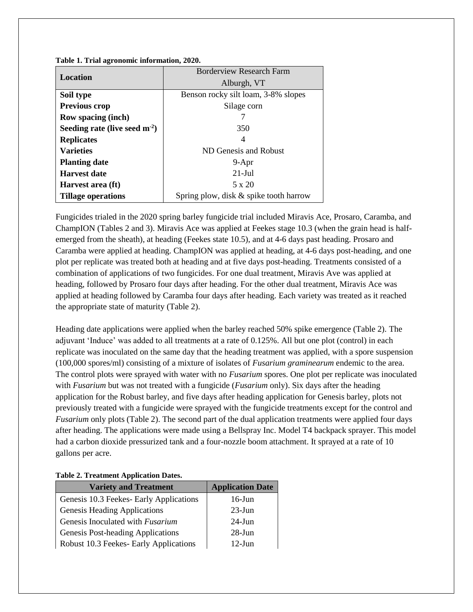| Location                        | <b>Borderview Research Farm</b>        |
|---------------------------------|----------------------------------------|
|                                 | Alburgh, VT                            |
| Soil type                       | Benson rocky silt loam, 3-8% slopes    |
| <b>Previous crop</b>            | Silage corn                            |
| <b>Row spacing (inch)</b>       |                                        |
| Seeding rate (live seed $m-2$ ) | 350                                    |
| <b>Replicates</b>               | 4                                      |
| <b>Varieties</b>                | ND Genesis and Robust                  |
| <b>Planting date</b>            | $9 - Apr$                              |
| <b>Harvest date</b>             | $21-Jul$                               |
| Harvest area (ft)               | 5 x 20                                 |
| <b>Tillage operations</b>       | Spring plow, disk & spike tooth harrow |

**Table 1. Trial agronomic information, 2020.** 

Fungicides trialed in the 2020 spring barley fungicide trial included Miravis Ace, Prosaro, Caramba, and ChampION (Tables 2 and 3). Miravis Ace was applied at Feekes stage 10.3 (when the grain head is halfemerged from the sheath), at heading (Feekes state 10.5), and at 4-6 days past heading. Prosaro and Caramba were applied at heading. ChampION was applied at heading, at 4-6 days post-heading, and one plot per replicate was treated both at heading and at five days post-heading. Treatments consisted of a combination of applications of two fungicides. For one dual treatment, Miravis Ave was applied at heading, followed by Prosaro four days after heading. For the other dual treatment, Miravis Ace was applied at heading followed by Caramba four days after heading. Each variety was treated as it reached the appropriate state of maturity (Table 2).

Heading date applications were applied when the barley reached 50% spike emergence (Table 2). The adjuvant 'Induce' was added to all treatments at a rate of 0.125%. All but one plot (control) in each replicate was inoculated on the same day that the heading treatment was applied, with a spore suspension (100,000 spores/ml) consisting of a mixture of isolates of *Fusarium graminearum* endemic to the area. The control plots were sprayed with water with no *Fusarium* spores. One plot per replicate was inoculated with *Fusarium* but was not treated with a fungicide (*Fusarium* only). Six days after the heading application for the Robust barley, and five days after heading application for Genesis barley, plots not previously treated with a fungicide were sprayed with the fungicide treatments except for the control and *Fusarium* only plots (Table 2). The second part of the dual application treatments were applied four days after heading. The applications were made using a Bellspray Inc. Model T4 backpack sprayer. This model had a carbon dioxide pressurized tank and a four-nozzle boom attachment. It sprayed at a rate of 10 gallons per acre.

#### **Table 2. Treatment Application Dates.**

| <b>Variety and Treatment</b>            | <b>Application Date</b> |
|-----------------------------------------|-------------------------|
| Genesis 10.3 Feekes- Early Applications | $16$ -Jun               |
| <b>Genesis Heading Applications</b>     | $23$ -Jun               |
| Genesis Inoculated with Fusarium        | $24$ -Jun               |
| Genesis Post-heading Applications       | $28$ -Jun               |
| Robust 10.3 Feekes- Early Applications  | $12$ -Jun               |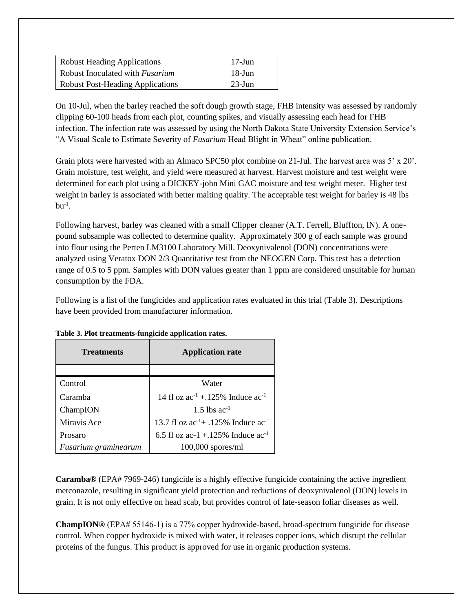| <b>Robust Heading Applications</b>      | $17$ -Jun |
|-----------------------------------------|-----------|
| Robust Inoculated with <i>Fusarium</i>  | $18$ -Jun |
| <b>Robust Post-Heading Applications</b> | $23$ -Jun |

On 10-Jul, when the barley reached the soft dough growth stage, FHB intensity was assessed by randomly clipping 60-100 heads from each plot, counting spikes, and visually assessing each head for FHB infection. The infection rate was assessed by using the North Dakota State University Extension Service's "A Visual Scale to Estimate Severity of *Fusarium* Head Blight in Wheat" online publication.

Grain plots were harvested with an Almaco SPC50 plot combine on 21-Jul. The harvest area was 5' x 20'. Grain moisture, test weight, and yield were measured at harvest. Harvest moisture and test weight were determined for each plot using a DICKEY-john Mini GAC moisture and test weight meter. Higher test weight in barley is associated with better malting quality. The acceptable test weight for barley is 48 lbs  $bu^{-1}$ .

Following harvest, barley was cleaned with a small Clipper cleaner (A.T. Ferrell, Bluffton, IN). A onepound subsample was collected to determine quality. Approximately 300 g of each sample was ground into flour using the Perten LM3100 Laboratory Mill. Deoxynivalenol (DON) concentrations were analyzed using Veratox DON 2/3 Quantitative test from the NEOGEN Corp. This test has a detection range of 0.5 to 5 ppm. Samples with DON values greater than 1 ppm are considered unsuitable for human consumption by the FDA.

Following is a list of the fungicides and application rates evaluated in this trial (Table 3). Descriptions have been provided from manufacturer information.

| <b>Treatments</b>    | <b>Application rate</b>                       |
|----------------------|-----------------------------------------------|
|                      |                                               |
| Control              | Water                                         |
| Caramba              | 14 fl oz $ac^{-1}$ + 125% Induce $ac^{-1}$    |
| ChampION             | 1.5 lbs $ac^{-1}$                             |
| Miravis Ace          | 13.7 fl oz $ac^{-1}$ + .125% Induce $ac^{-1}$ |
| Prosaro              | 6.5 fl oz ac-1 +.125% Induce $ac^{-1}$        |
| Fusarium graminearum | $100,000$ spores/ml                           |

|  | Table 3. Plot treatments-fungicide application rates. |  |  |
|--|-------------------------------------------------------|--|--|
|  |                                                       |  |  |

**Caramba®** (EPA# 7969-246) fungicide is a highly effective fungicide containing the active ingredient metconazole, resulting in significant yield protection and reductions of deoxynivalenol (DON) levels in grain. It is not only effective on head scab, but provides control of late-season foliar diseases as well.

**ChampION®** (EPA# 55146‐1) is a 77% copper hydroxide-based, broad-spectrum fungicide for disease control. When copper hydroxide is mixed with water, it releases copper ions, which disrupt the cellular proteins of the fungus. This product is approved for use in organic production systems.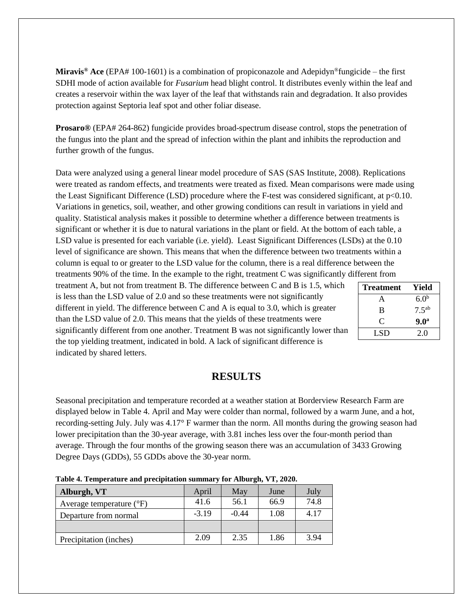**Miravis® Ace** (EPA# 100-1601) is a combination of propiconazole and Adepidyn®fungicide – the first SDHI mode of action available for *Fusarium* head blight control. It distributes evenly within the leaf and creates a reservoir within the wax layer of the leaf that withstands rain and degradation. It also provides protection against Septoria leaf spot and other foliar disease.

**Prosaro®** (EPA# 264-862) fungicide provides broad-spectrum disease control, stops the penetration of the fungus into the plant and the spread of infection within the plant and inhibits the reproduction and further growth of the fungus.

Data were analyzed using a general linear model procedure of SAS (SAS Institute, 2008). Replications were treated as random effects, and treatments were treated as fixed. Mean comparisons were made using the Least Significant Difference (LSD) procedure where the F-test was considered significant, at p<0.10. Variations in genetics, soil, weather, and other growing conditions can result in variations in yield and quality. Statistical analysis makes it possible to determine whether a difference between treatments is significant or whether it is due to natural variations in the plant or field. At the bottom of each table, a LSD value is presented for each variable (i.e. yield). Least Significant Differences (LSDs) at the 0.10 level of significance are shown. This means that when the difference between two treatments within a column is equal to or greater to the LSD value for the column, there is a real difference between the treatments 90% of the time. In the example to the right, treatment C was significantly different from

treatment A, but not from treatment B. The difference between C and B is 1.5, which is less than the LSD value of 2.0 and so these treatments were not significantly different in yield. The difference between C and A is equal to 3.0, which is greater than the LSD value of 2.0. This means that the yields of these treatments were significantly different from one another. Treatment B was not significantly lower than the top yielding treatment, indicated in bold. A lack of significant difference is indicated by shared letters.

| <b>Treatment</b> | Yield             |
|------------------|-------------------|
| A                | 6.0 <sup>b</sup>  |
| B                | 7.5 <sup>ab</sup> |
| C                | 9.0 <sup>a</sup>  |
| LSD              | 2.0               |

## **RESULTS**

Seasonal precipitation and temperature recorded at a weather station at Borderview Research Farm are displayed below in Table 4. April and May were colder than normal, followed by a warm June, and a hot, recording-setting July. July was 4.17° F warmer than the norm. All months during the growing season had lower precipitation than the 30-year average, with 3.81 inches less over the four-month period than average. Through the four months of the growing season there was an accumulation of 3433 Growing Degree Days (GDDs), 55 GDDs above the 30-year norm.

| Alburgh, VT                         | April   | May     | June | July |  |
|-------------------------------------|---------|---------|------|------|--|
| Average temperature $({}^{\circ}F)$ | 41.6    | 56.1    | 66.9 | 74.8 |  |
| Departure from normal               | $-3.19$ | $-0.44$ | 1.08 | 4.17 |  |
|                                     |         |         |      |      |  |
| Precipitation (inches)              | 2.09    | 2.35    | 1.86 | 3.94 |  |

**Table 4. Temperature and precipitation summary for Alburgh, VT, 2020.**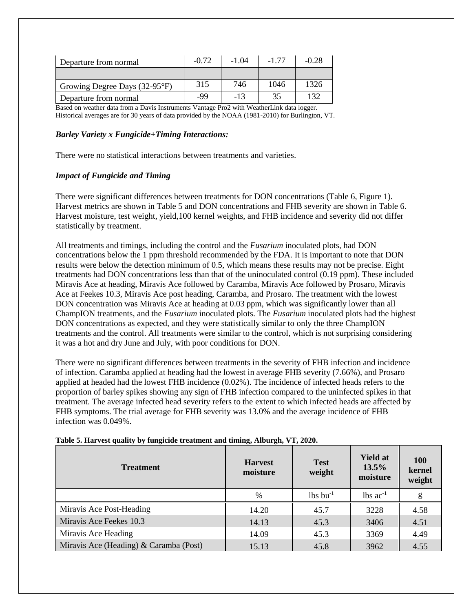| Departure from normal         | $-0.72$ | -1.04 | -1 77 | $-0.28$ |
|-------------------------------|---------|-------|-------|---------|
|                               |         |       |       |         |
| Growing Degree Days (32-95°F) | 315     | 746   | 1046  | 1326    |
| Departure from normal         | $-99$   | $-13$ | 35    | 132     |

Based on weather data from a Davis Instruments Vantage Pro2 with WeatherLink data logger. Historical averages are for 30 years of data provided by the NOAA (1981-2010) for Burlington, VT.

#### *Barley Variety x Fungicide+Timing Interactions:*

There were no statistical interactions between treatments and varieties.

#### *Impact of Fungicide and Timing*

There were significant differences between treatments for DON concentrations (Table 6, Figure 1). Harvest metrics are shown in Table 5 and DON concentrations and FHB severity are shown in Table 6. Harvest moisture, test weight, yield,100 kernel weights, and FHB incidence and severity did not differ statistically by treatment.

All treatments and timings, including the control and the *Fusarium* inoculated plots, had DON concentrations below the 1 ppm threshold recommended by the FDA. It is important to note that DON results were below the detection minimum of 0.5, which means these results may not be precise. Eight treatments had DON concentrations less than that of the uninoculated control (0.19 ppm). These included Miravis Ace at heading, Miravis Ace followed by Caramba, Miravis Ace followed by Prosaro, Miravis Ace at Feekes 10.3, Miravis Ace post heading, Caramba, and Prosaro. The treatment with the lowest DON concentration was Miravis Ace at heading at 0.03 ppm, which was significantly lower than all ChampION treatments, and the *Fusarium* inoculated plots. The *Fusarium* inoculated plots had the highest DON concentrations as expected, and they were statistically similar to only the three ChampION treatments and the control. All treatments were similar to the control, which is not surprising considering it was a hot and dry June and July, with poor conditions for DON.

There were no significant differences between treatments in the severity of FHB infection and incidence of infection. Caramba applied at heading had the lowest in average FHB severity (7.66%), and Prosaro applied at headed had the lowest FHB incidence (0.02%). The incidence of infected heads refers to the proportion of barley spikes showing any sign of FHB infection compared to the uninfected spikes in that treatment. The average infected head severity refers to the extent to which infected heads are affected by FHB symptoms. The trial average for FHB severity was 13.0% and the average incidence of FHB infection was 0.049%.

| <b>Treatment</b>                       | <b>Harvest</b><br>moisture | <b>Test</b><br>weight  | <b>Yield at</b><br>13.5%<br>moisture | <b>100</b><br>kernel<br>weight |  |
|----------------------------------------|----------------------------|------------------------|--------------------------------------|--------------------------------|--|
|                                        | $\frac{0}{0}$              | $lbs$ bu <sup>-1</sup> | $lbs$ ac <sup>-1</sup>               | g                              |  |
| Miravis Ace Post-Heading               | 14.20                      | 45.7                   | 3228                                 | 4.58                           |  |
| Miravis Ace Feekes 10.3                | 14.13                      | 45.3                   | 3406                                 | 4.51                           |  |
| Miravis Ace Heading                    | 14.09                      | 45.3                   | 3369                                 | 4.49                           |  |
| Miravis Ace (Heading) & Caramba (Post) | 15.13                      | 45.8                   | 3962                                 | 4.55                           |  |

**Table 5. Harvest quality by fungicide treatment and timing, Alburgh, VT, 2020.**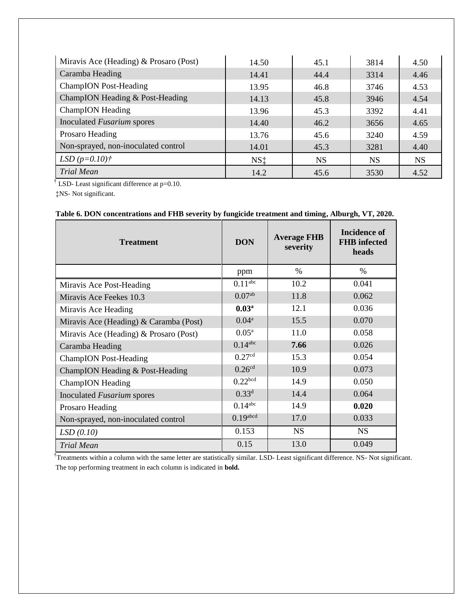| Miravis Ace (Heading) & Prosaro (Post) | 14.50           | 45.1      | 3814      | 4.50      |
|----------------------------------------|-----------------|-----------|-----------|-----------|
| Caramba Heading                        | 14.41           | 44.4      | 3314      | 4.46      |
| <b>ChampION</b> Post-Heading           | 13.95           | 46.8      | 3746      | 4.53      |
| ChampION Heading & Post-Heading        | 14.13           | 45.8      | 3946      | 4.54      |
| ChampION Heading                       | 13.96           | 45.3      | 3392      | 4.41      |
| Inoculated Fusarium spores             | 14.40           | 46.2      | 3656      | 4.65      |
| Prosaro Heading                        | 13.76           | 45.6      | 3240      | 4.59      |
| Non-sprayed, non-inoculated control    | 14.01           | 45.3      | 3281      | 4.40      |
| LSD $(p=0.10)$ †                       | NS <sub>1</sub> | <b>NS</b> | <b>NS</b> | <b>NS</b> |
| <b>Trial Mean</b>                      | 14.2            | 45.6      | 3530      | 4.52      |

<sup>†</sup> LSD- Least significant difference at  $p=0.10$ .

‡NS- Not significant.

| <b>Treatment</b>                       | <b>DON</b>            | <b>Average FHB</b><br>severity | Incidence of<br><b>FHB</b> infected<br>heads |
|----------------------------------------|-----------------------|--------------------------------|----------------------------------------------|
|                                        | ppm                   | $\%$                           | $\%$                                         |
| Miravis Ace Post-Heading               | 0.11 <sup>abc</sup>   | 10.2                           | 0.041                                        |
| Miravis Ace Feekes 10.3                | $0.07^{ab}$           | 11.8                           | 0.062                                        |
| Miravis Ace Heading                    | 0.03 <sup>a</sup>     | 12.1                           | 0.036                                        |
| Miravis Ace (Heading) & Caramba (Post) | $0.04^{\rm a}$        | 15.5                           | 0.070                                        |
| Miravis Ace (Heading) & Prosaro (Post) | $0.05^{\rm a}$        | 11.0                           | 0.058                                        |
| Caramba Heading                        | $0.14$ <sup>abc</sup> | 7.66                           | 0.026                                        |
| <b>ChampION</b> Post-Heading           | 0.27 <sup>cd</sup>    | 15.3                           | 0.054                                        |
| ChampION Heading & Post-Heading        | 0.26 <sup>cd</sup>    | 10.9                           | 0.073                                        |
| <b>ChampION</b> Heading                | 0.22 <sup>bcd</sup>   | 14.9                           | 0.050                                        |
| Inoculated Fusarium spores             | $0.33^{d}$            | 14.4                           | 0.064                                        |
| Prosaro Heading                        | $0.14$ <sup>abc</sup> | 14.9                           | 0.020                                        |
| Non-sprayed, non-inoculated control    | $0.19$ abcd           | 17.0                           | 0.033                                        |
| LSD(0.10)                              | 0.153                 | <b>NS</b>                      | <b>NS</b>                                    |
| <b>Trial Mean</b>                      | 0.15                  | 13.0                           | 0.049                                        |

### **Table 6. DON concentrations and FHB severity by fungicide treatment and timing, Alburgh, VT, 2020.**

<sup>†</sup>Treatments within a column with the same letter are statistically similar. LSD- Least significant difference. NS- Not significant. The top performing treatment in each column is indicated in **bold.**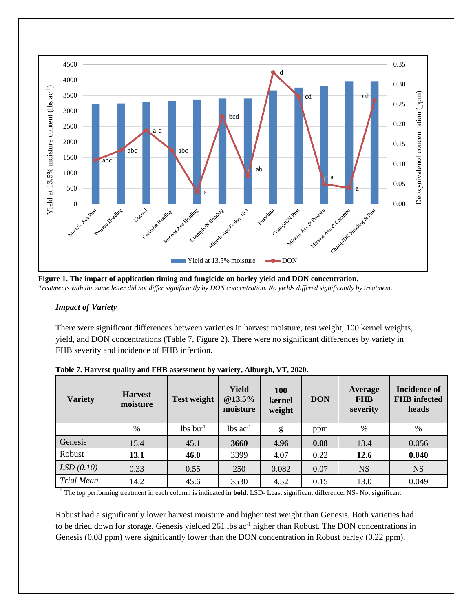

**Figure 1. The impact of application timing and fungicide on barley yield and DON concentration.** *Treatments with the same letter did not differ significantly by DON concentration. No yields differed significantly by treatment.* 

#### *Impact of Variety*

There were significant differences between varieties in harvest moisture, test weight, 100 kernel weights, yield, and DON concentrations (Table 7, Figure 2). There were no significant differences by variety in FHB severity and incidence of FHB infection.

| <b>Variety</b>    | <b>Harvest</b><br>moisture | <b>Test weight</b>     | <b>Yield</b><br>@13.5%<br>moisture | 100<br>kernel<br>weight | <b>DON</b> | <b>Average</b><br><b>FHB</b><br>severity | <b>Incidence of</b><br><b>FHB</b> infected<br>heads |
|-------------------|----------------------------|------------------------|------------------------------------|-------------------------|------------|------------------------------------------|-----------------------------------------------------|
|                   | %                          | $lbs$ bu <sup>-1</sup> | $lbs$ ac <sup>-1</sup>             | g                       | ppm        | %                                        | %                                                   |
| Genesis           | 15.4                       | 45.1                   | 3660                               | 4.96                    | 0.08       | 13.4                                     | 0.056                                               |
| Robust            | 13.1                       | 46.0                   | 3399                               | 4.07                    | 0.22       | 12.6                                     | 0.040                                               |
| LSD(0.10)         | 0.33                       | 0.55                   | 250                                | 0.082                   | 0.07       | <b>NS</b>                                | <b>NS</b>                                           |
| <b>Trial Mean</b> | 14.2                       | 45.6                   | 3530                               | 4.52                    | 0.15       | 13.0                                     | 0.049                                               |

**Table 7. Harvest quality and FHB assessment by variety, Alburgh, VT, 2020.**

† The top performing treatment in each column is indicated in **bold.** LSD- Least significant difference. NS- Not significant.

Robust had a significantly lower harvest moisture and higher test weight than Genesis. Both varieties had to be dried down for storage. Genesis yielded 261 lbs ac<sup>-1</sup> higher than Robust. The DON concentrations in Genesis (0.08 ppm) were significantly lower than the DON concentration in Robust barley (0.22 ppm),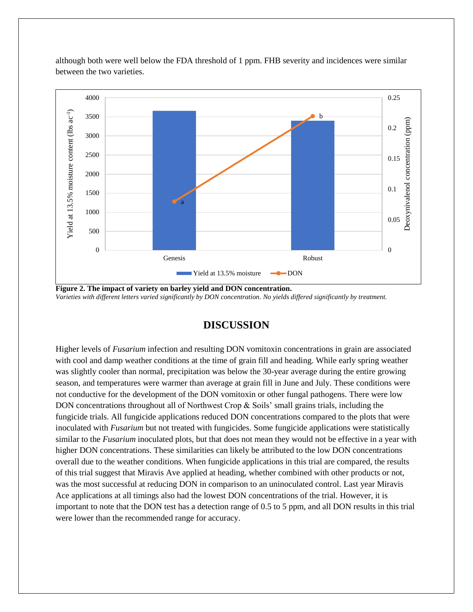although both were well below the FDA threshold of 1 ppm. FHB severity and incidences were similar between the two varieties.



**Figure 2. The impact of variety on barley yield and DON concentration.** *Varieties with different letters varied significantly by DON concentration. No yields differed significantly by treatment.* 

## **DISCUSSION**

Higher levels of *Fusarium* infection and resulting DON vomitoxin concentrations in grain are associated with cool and damp weather conditions at the time of grain fill and heading. While early spring weather was slightly cooler than normal, precipitation was below the 30-year average during the entire growing season, and temperatures were warmer than average at grain fill in June and July. These conditions were not conductive for the development of the DON vomitoxin or other fungal pathogens. There were low DON concentrations throughout all of Northwest Crop  $\&$  Soils' small grains trials, including the fungicide trials. All fungicide applications reduced DON concentrations compared to the plots that were inoculated with *Fusarium* but not treated with fungicides. Some fungicide applications were statistically similar to the *Fusarium* inoculated plots, but that does not mean they would not be effective in a year with higher DON concentrations. These similarities can likely be attributed to the low DON concentrations overall due to the weather conditions. When fungicide applications in this trial are compared, the results of this trial suggest that Miravis Ave applied at heading, whether combined with other products or not, was the most successful at reducing DON in comparison to an uninoculated control. Last year Miravis Ace applications at all timings also had the lowest DON concentrations of the trial. However, it is important to note that the DON test has a detection range of 0.5 to 5 ppm, and all DON results in this trial were lower than the recommended range for accuracy.